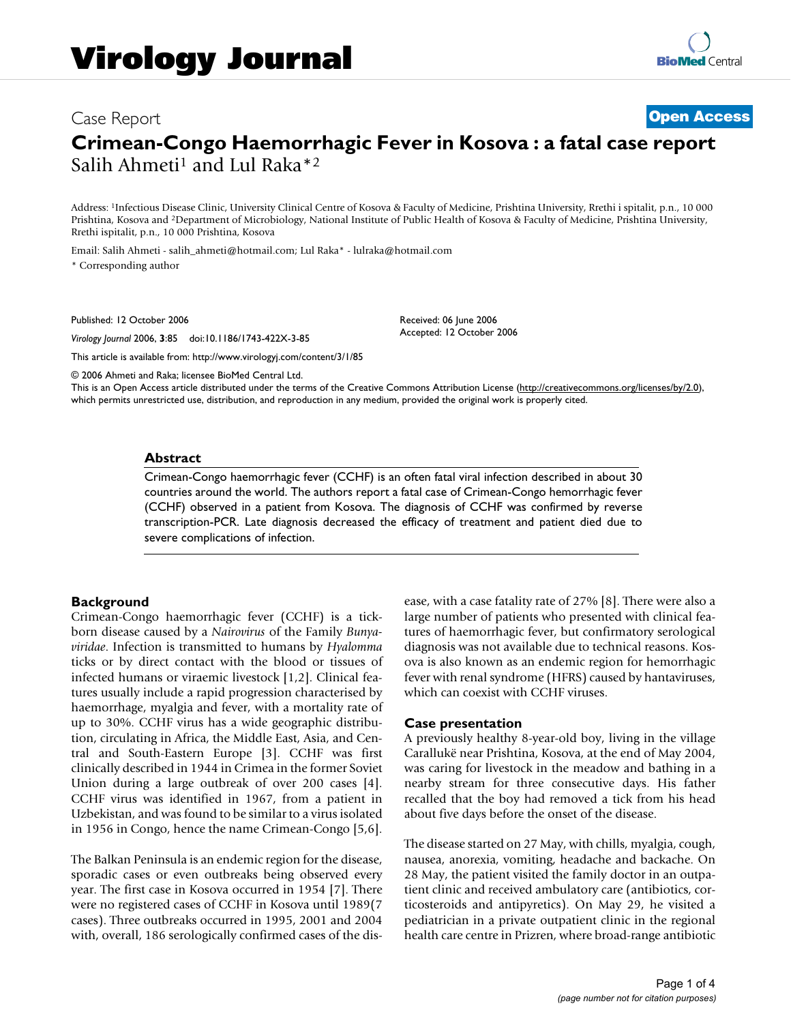# Case Report **[Open Access](http://www.biomedcentral.com/info/about/charter/) Crimean-Congo Haemorrhagic Fever in Kosova : a fatal case report** Salih Ahmeti<sup>1</sup> and Lul Raka<sup>\*2</sup>

Address: 1Infectious Disease Clinic, University Clinical Centre of Kosova & Faculty of Medicine, Prishtina University, Rrethi i spitalit, p.n., 10 000 Prishtina, Kosova and 2Department of Microbiology, National Institute of Public Health of Kosova & Faculty of Medicine, Prishtina University, Rrethi ispitalit, p.n., 10 000 Prishtina, Kosova

Email: Salih Ahmeti - salih\_ahmeti@hotmail.com; Lul Raka\* - lulraka@hotmail.com

\* Corresponding author

Published: 12 October 2006

*Virology Journal* 2006, **3**:85 doi:10.1186/1743-422X-3-85

[This article is available from: http://www.virologyj.com/content/3/1/85](http://www.virologyj.com/content/3/1/85)

© 2006 Ahmeti and Raka; licensee BioMed Central Ltd.

This is an Open Access article distributed under the terms of the Creative Commons Attribution License [\(http://creativecommons.org/licenses/by/2.0\)](http://creativecommons.org/licenses/by/2.0), which permits unrestricted use, distribution, and reproduction in any medium, provided the original work is properly cited.

Received: 06 June 2006 Accepted: 12 October 2006

#### **Abstract**

Crimean-Congo haemorrhagic fever (CCHF) is an often fatal viral infection described in about 30 countries around the world. The authors report a fatal case of Crimean-Congo hemorrhagic fever (CCHF) observed in a patient from Kosova. The diagnosis of CCHF was confirmed by reverse transcription-PCR. Late diagnosis decreased the efficacy of treatment and patient died due to severe complications of infection.

## **Background**

Crimean-Congo haemorrhagic fever (CCHF) is a tickborn disease caused by a *Nairovirus* of the Family *Bunyaviridae*. Infection is transmitted to humans by *Hyalomma* ticks or by direct contact with the blood or tissues of infected humans or viraemic livestock [1,2]. Clinical features usually include a rapid progression characterised by haemorrhage, myalgia and fever, with a mortality rate of up to 30%. CCHF virus has a wide geographic distribution, circulating in Africa, the Middle East, Asia, and Central and South-Eastern Europe [3]. CCHF was first clinically described in 1944 in Crimea in the former Soviet Union during a large outbreak of over 200 cases [4]. CCHF virus was identified in 1967, from a patient in Uzbekistan, and was found to be similar to a virus isolated in 1956 in Congo, hence the name Crimean-Congo [5,6].

The Balkan Peninsula is an endemic region for the disease, sporadic cases or even outbreaks being observed every year. The first case in Kosova occurred in 1954 [7]. There were no registered cases of CCHF in Kosova until 1989(7 cases). Three outbreaks occurred in 1995, 2001 and 2004 with, overall, 186 serologically confirmed cases of the disease, with a case fatality rate of 27% [8]. There were also a large number of patients who presented with clinical features of haemorrhagic fever, but confirmatory serological diagnosis was not available due to technical reasons. Kosova is also known as an endemic region for hemorrhagic fever with renal syndrome (HFRS) caused by hantaviruses, which can coexist with CCHF viruses.

## **Case presentation**

A previously healthy 8-year-old boy, living in the village Carallukë near Prishtina, Kosova, at the end of May 2004, was caring for livestock in the meadow and bathing in a nearby stream for three consecutive days. His father recalled that the boy had removed a tick from his head about five days before the onset of the disease.

The disease started on 27 May, with chills, myalgia, cough, nausea, anorexia, vomiting, headache and backache. On 28 May, the patient visited the family doctor in an outpatient clinic and received ambulatory care (antibiotics, corticosteroids and antipyretics). On May 29, he visited a pediatrician in a private outpatient clinic in the regional health care centre in Prizren, where broad-range antibiotic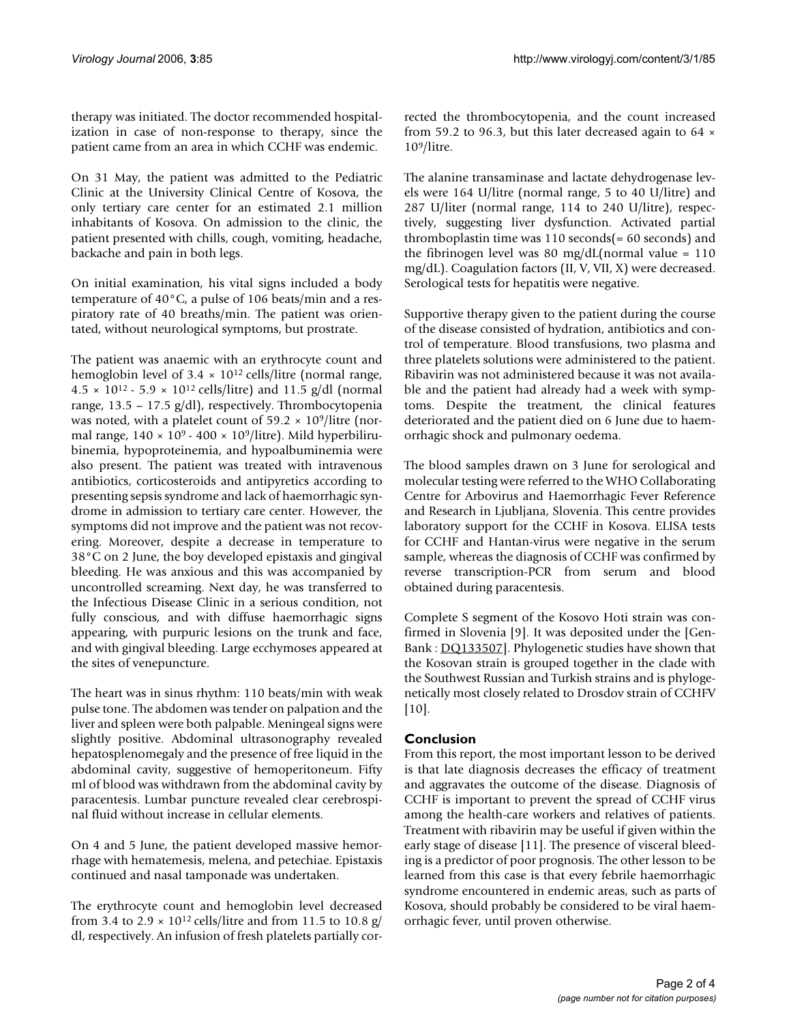therapy was initiated. The doctor recommended hospitalization in case of non-response to therapy, since the patient came from an area in which CCHF was endemic.

On 31 May, the patient was admitted to the Pediatric Clinic at the University Clinical Centre of Kosova, the only tertiary care center for an estimated 2.1 million inhabitants of Kosova. On admission to the clinic, the patient presented with chills, cough, vomiting, headache, backache and pain in both legs.

On initial examination, his vital signs included a body temperature of 40°C, a pulse of 106 beats/min and a respiratory rate of 40 breaths/min. The patient was orientated, without neurological symptoms, but prostrate.

The patient was anaemic with an erythrocyte count and hemoglobin level of  $3.4 \times 10^{12}$  cells/litre (normal range,  $4.5 \times 10^{12} - 5.9 \times 10^{12}$  cells/litre) and 11.5 g/dl (normal range, 13.5 – 17.5 g/dl), respectively. Thrombocytopenia was noted, with a platelet count of  $59.2 \times 10^9$ /litre (normal range,  $140 \times 10^9 - 400 \times 10^9$ /litre). Mild hyperbilirubinemia, hypoproteinemia, and hypoalbuminemia were also present. The patient was treated with intravenous antibiotics, corticosteroids and antipyretics according to presenting sepsis syndrome and lack of haemorrhagic syndrome in admission to tertiary care center. However, the symptoms did not improve and the patient was not recovering. Moreover, despite a decrease in temperature to 38°C on 2 June, the boy developed epistaxis and gingival bleeding. He was anxious and this was accompanied by uncontrolled screaming. Next day, he was transferred to the Infectious Disease Clinic in a serious condition, not fully conscious, and with diffuse haemorrhagic signs appearing, with purpuric lesions on the trunk and face, and with gingival bleeding. Large ecchymoses appeared at the sites of venepuncture.

The heart was in sinus rhythm: 110 beats/min with weak pulse tone. The abdomen was tender on palpation and the liver and spleen were both palpable. Meningeal signs were slightly positive. Abdominal ultrasonography revealed hepatosplenomegaly and the presence of free liquid in the abdominal cavity, suggestive of hemoperitoneum. Fifty ml of blood was withdrawn from the abdominal cavity by paracentesis. Lumbar puncture revealed clear cerebrospinal fluid without increase in cellular elements.

On 4 and 5 June, the patient developed massive hemorrhage with hematemesis, melena, and petechiae. Epistaxis continued and nasal tamponade was undertaken.

The erythrocyte count and hemoglobin level decreased from 3.4 to 2.9  $\times$  10<sup>12</sup> cells/litre and from 11.5 to 10.8 g/ dl, respectively. An infusion of fresh platelets partially corrected the thrombocytopenia, and the count increased from 59.2 to 96.3, but this later decreased again to 64 × 109/litre.

The alanine transaminase and lactate dehydrogenase levels were 164 U/litre (normal range, 5 to 40 U/litre) and 287 U/liter (normal range, 114 to 240 U/litre), respectively, suggesting liver dysfunction. Activated partial thromboplastin time was  $110$  seconds(= 60 seconds) and the fibrinogen level was 80 mg/dL(normal value =  $110$ mg/dL). Coagulation factors (II, V, VII, X) were decreased. Serological tests for hepatitis were negative.

Supportive therapy given to the patient during the course of the disease consisted of hydration, antibiotics and control of temperature. Blood transfusions, two plasma and three platelets solutions were administered to the patient. Ribavirin was not administered because it was not available and the patient had already had a week with symptoms. Despite the treatment, the clinical features deteriorated and the patient died on 6 June due to haemorrhagic shock and pulmonary oedema.

The blood samples drawn on 3 June for serological and molecular testing were referred to the WHO Collaborating Centre for Arbovirus and Haemorrhagic Fever Reference and Research in Ljubljana, Slovenia. This centre provides laboratory support for the CCHF in Kosova. ELISA tests for CCHF and Hantan-virus were negative in the serum sample, whereas the diagnosis of CCHF was confirmed by reverse transcription-PCR from serum and blood obtained during paracentesis.

Complete S segment of the Kosovo Hoti strain was confirmed in Slovenia [9]. It was deposited under the [Gen-Bank : [DQ133507](http://www.ncbi.nih.gov/entrez/query.fcgi?db=Nucleotide&cmd=search&term=DQ133507)]. Phylogenetic studies have shown that the Kosovan strain is grouped together in the clade with the Southwest Russian and Turkish strains and is phylogenetically most closely related to Drosdov strain of CCHFV [10].

# **Conclusion**

From this report, the most important lesson to be derived is that late diagnosis decreases the efficacy of treatment and aggravates the outcome of the disease. Diagnosis of CCHF is important to prevent the spread of CCHF virus among the health-care workers and relatives of patients. Treatment with ribavirin may be useful if given within the early stage of disease [11]. The presence of visceral bleeding is a predictor of poor prognosis. The other lesson to be learned from this case is that every febrile haemorrhagic syndrome encountered in endemic areas, such as parts of Kosova, should probably be considered to be viral haemorrhagic fever, until proven otherwise.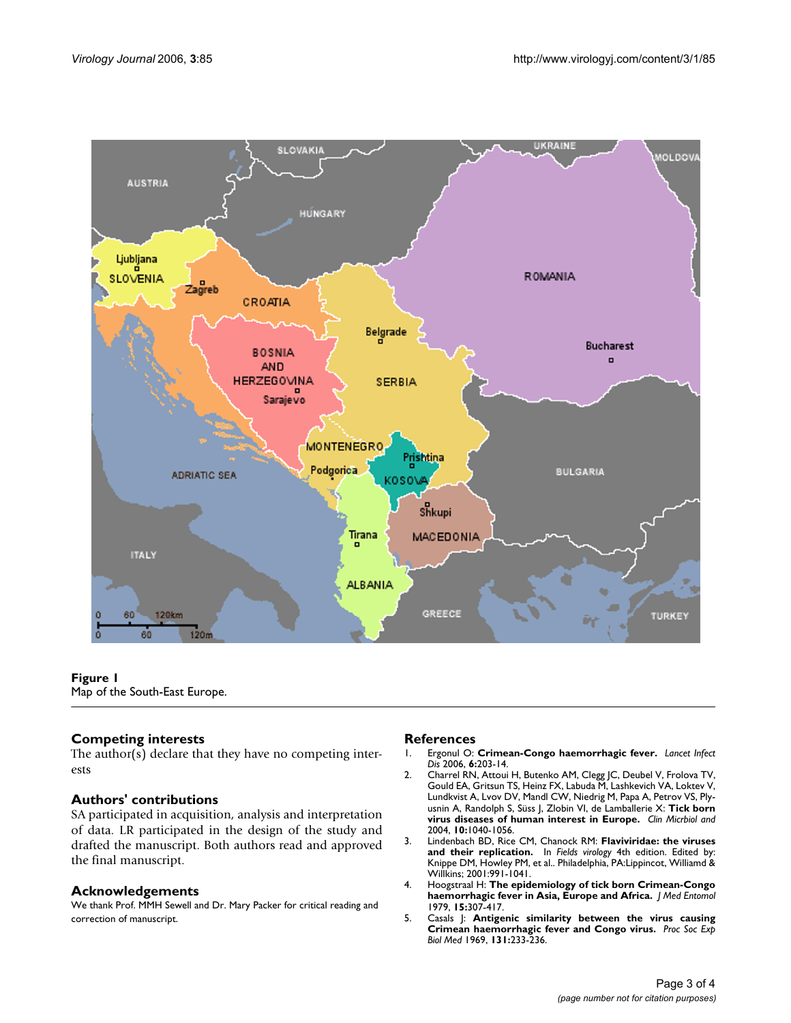

**Figure 1** Map of the South-East Europe.

# **Competing interests**

The author(s) declare that they have no competing interests

# **Authors' contributions**

SA participated in acquisition, analysis and interpretation of data. LR participated in the design of the study and drafted the manuscript. Both authors read and approved the final manuscript.

## **Acknowledgements**

We thank Prof. MMH Sewell and Dr. Mary Packer for critical reading and correction of manuscript.

# **References**<br>1. Ergonul O:

- 1. Ergonul O: **[Crimean-Congo haemorrhagic fever.](http://www.ncbi.nlm.nih.gov/entrez/query.fcgi?cmd=Retrieve&db=PubMed&dopt=Abstract&list_uids=16554245)** *Lancet Infect Dis* 2006, **6:**203-14.
- 2. Charrel RN, Attoui H, Butenko AM, Clegg JC, Deubel V, Frolova TV, Gould EA, Gritsun TS, Heinz FX, Labuda M, Lashkevich VA, Loktev V, Lundkvist A, Lvov DV, Mandl CW, Niedrig M, Papa A, Petrov VS, Plyusnin A, Randolph S, Süss J, Zlobin VI, de Lamballerie X: **Tick born virus diseases of human interest in Europe.** *Clin Micrbiol and* 2004, **10:**1040-1056.
- 3. Lindenbach BD, Rice CM, Chanock RM: **Flaviviridae: the viruses and their replication.** In *Fields virology* 4th edition. Edited by: Knippe DM, Howley PM, et al.. Philadelphia, PA:Lippincot, Williamd & Willkins; 2001:991-1041.
- 4. Hoogstraal H: **[The epidemiology of tick born Crimean-Congo](http://www.ncbi.nlm.nih.gov/entrez/query.fcgi?cmd=Retrieve&db=PubMed&dopt=Abstract&list_uids=113533) [haemorrhagic fever in Asia, Europe and Africa.](http://www.ncbi.nlm.nih.gov/entrez/query.fcgi?cmd=Retrieve&db=PubMed&dopt=Abstract&list_uids=113533)** *J Med Entomol* 1979, **15:**307-417.
- 5. Casals J: **[Antigenic similarity between the virus causing](http://www.ncbi.nlm.nih.gov/entrez/query.fcgi?cmd=Retrieve&db=PubMed&dopt=Abstract&list_uids=5770109) [Crimean haemorrhagic fever and Congo virus.](http://www.ncbi.nlm.nih.gov/entrez/query.fcgi?cmd=Retrieve&db=PubMed&dopt=Abstract&list_uids=5770109)** *Proc Soc Exp Biol Med* 1969, **131:**233-236.